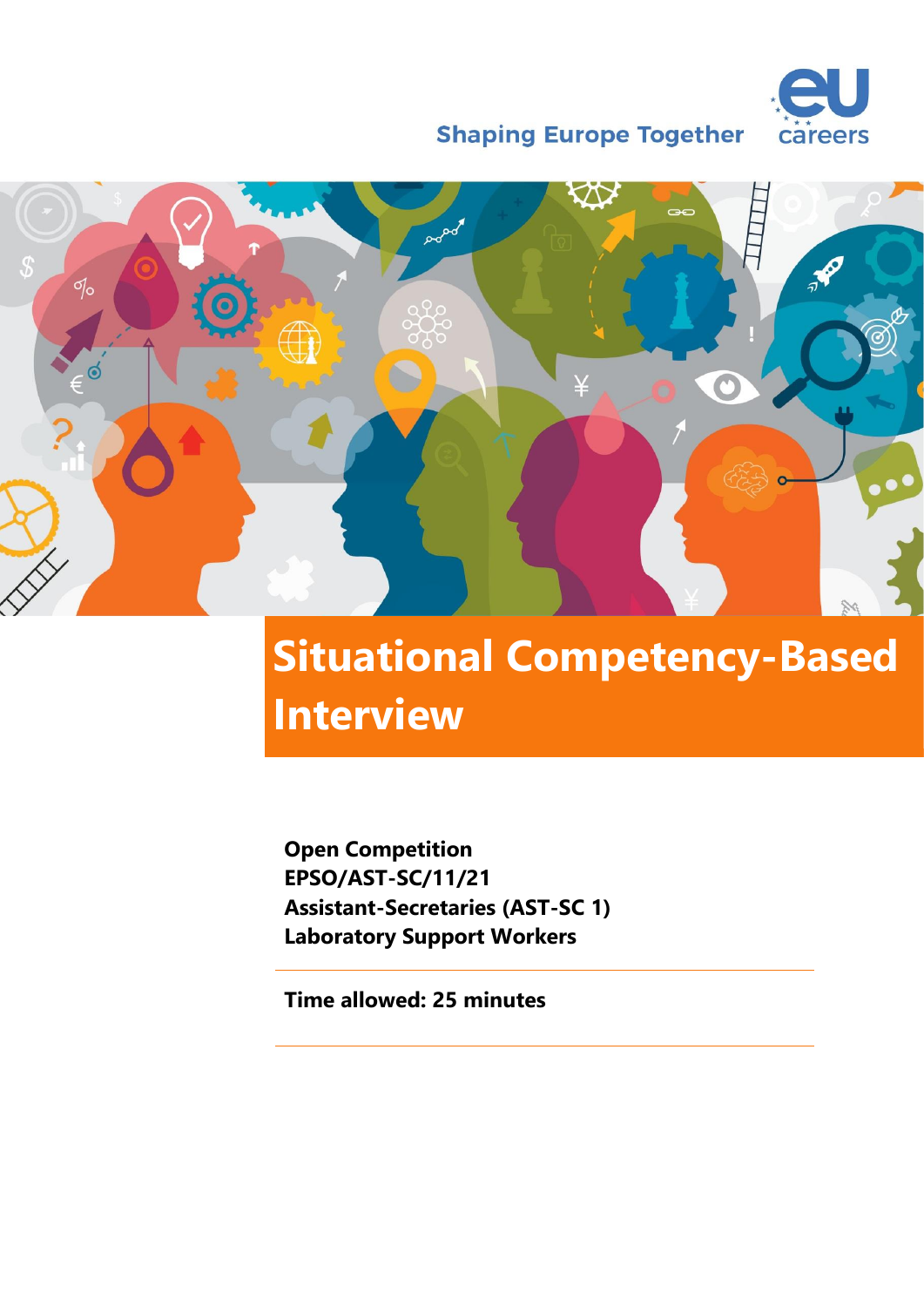

**Shaping Europe Together** 



# **Situational Competency-Based Interview**

**Open Competition EPSO/AST-SC/11/21 Assistant-Secretaries (AST-SC 1) Laboratory Support Workers**

**Time allowed: 25 minutes**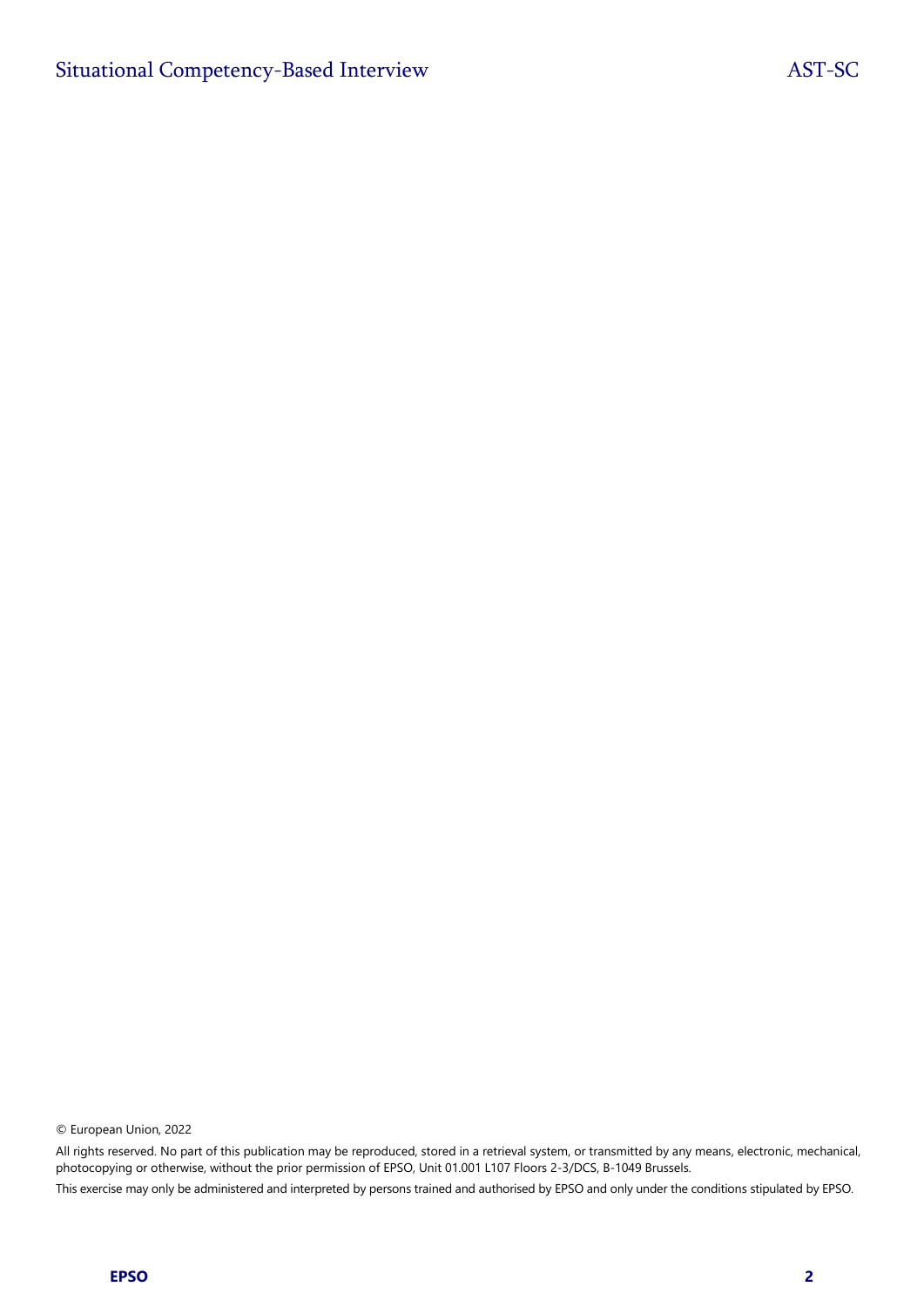© European Union, 2022

All rights reserved. No part of this publication may be reproduced, stored in a retrieval system, or transmitted by any means, electronic, mechanical, photocopying or otherwise, without the prior permission of EPSO, Unit 01.001 L107 Floors 2-3/DCS, B-1049 Brussels.

This exercise may only be administered and interpreted by persons trained and authorised by EPSO and only under the conditions stipulated by EPSO.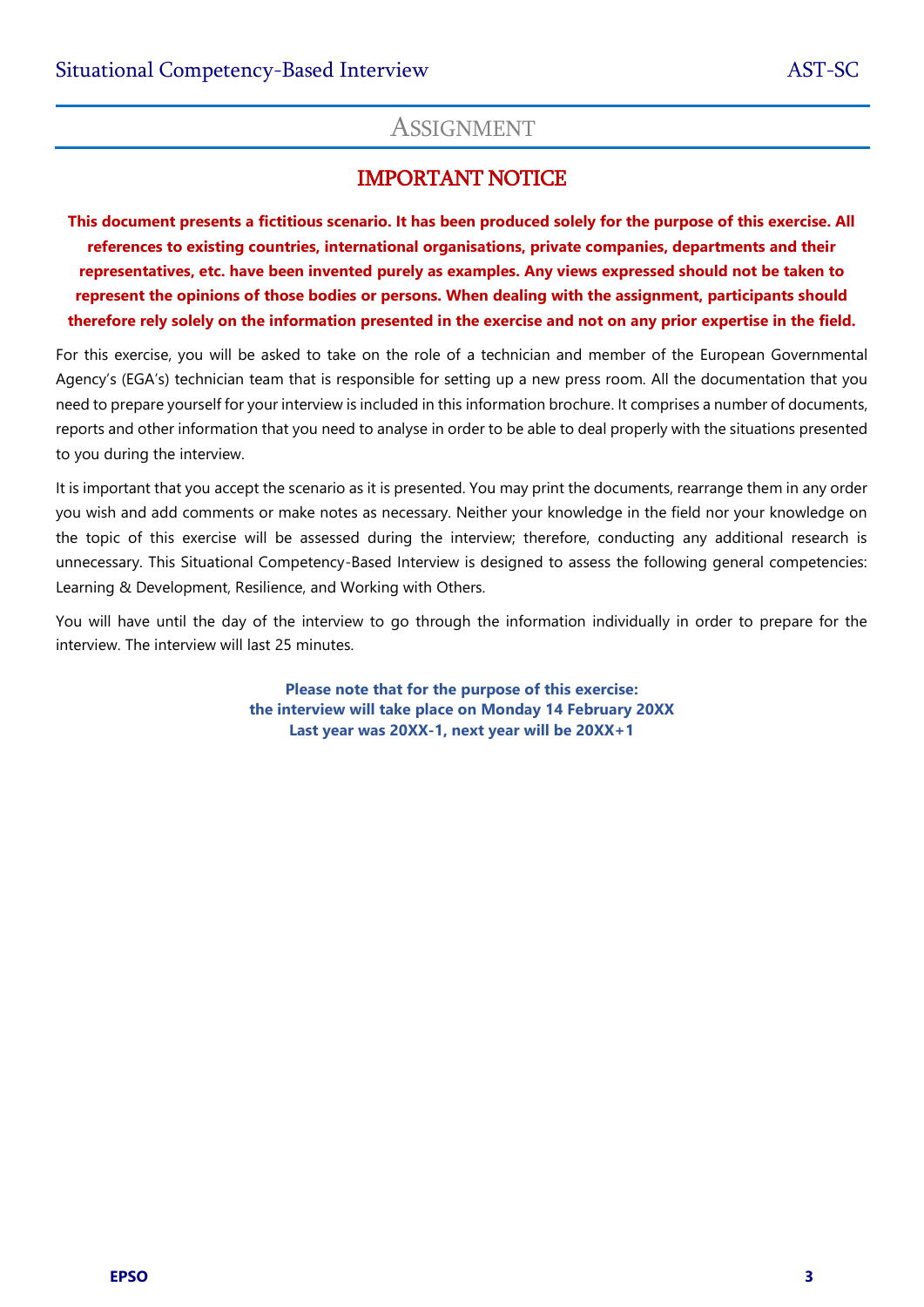## **ASSIGNMENT**

## IMPORTANT NOTICE

**This document presents a fictitious scenario. It has been produced solely for the purpose of this exercise. All references to existing countries, international organisations, private companies, departments and their representatives, etc. have been invented purely as examples. Any views expressed should not be taken to represent the opinions of those bodies or persons. When dealing with the assignment, participants should therefore rely solely on the information presented in the exercise and not on any prior expertise in the field.**

For this exercise, you will be asked to take on the role of a technician and member of the European Governmental Agency's (EGA's) technician team that is responsible for setting up a new press room. All the documentation that you need to prepare yourself for your interview is included in this information brochure. It comprises a number of documents, reports and other information that you need to analyse in order to be able to deal properly with the situations presented to you during the interview.

It is important that you accept the scenario as it is presented. You may print the documents, rearrange them in any order you wish and add comments or make notes as necessary. Neither your knowledge in the field nor your knowledge on the topic of this exercise will be assessed during the interview; therefore, conducting any additional research is unnecessary. This Situational Competency-Based Interview is designed to assess the following general competencies: Learning & Development, Resilience, and Working with Others.

You will have until the day of the interview to go through the information individually in order to prepare for the interview. The interview will last 25 minutes.

> **Please note that for the purpose of this exercise: the interview will take place on Monday 14 February 20XX Last year was 20XX-1, next year will be 20XX+1**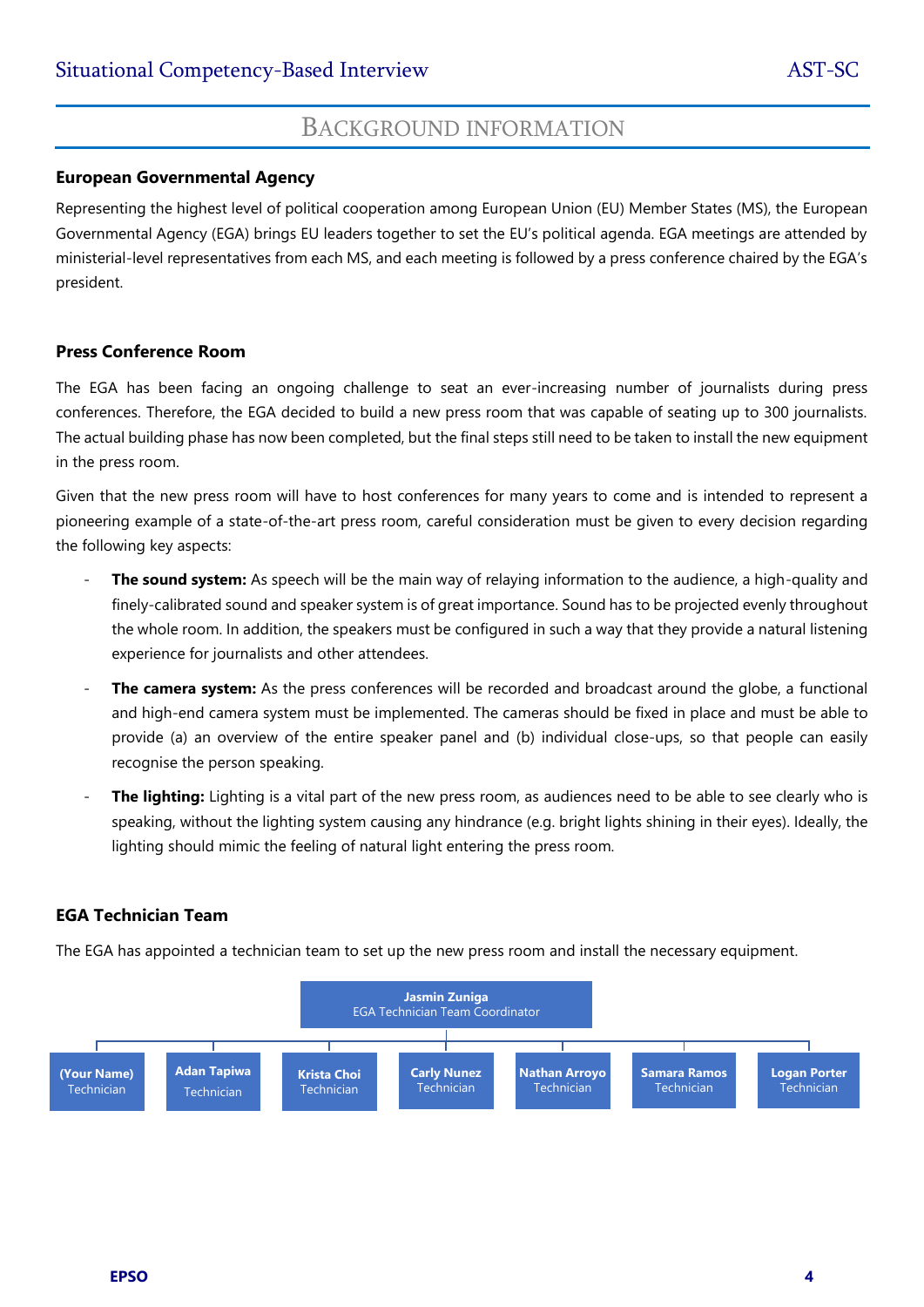## BACKGROUND INFORMATION

#### **European Governmental Agency**

Representing the highest level of political cooperation among European Union (EU) Member States (MS), the European Governmental Agency (EGA) brings EU leaders together to set the EU's political agenda. EGA meetings are attended by ministerial-level representatives from each MS, and each meeting is followed by a press conference chaired by the EGA's president.

#### **Press Conference Room**

The EGA has been facing an ongoing challenge to seat an ever-increasing number of journalists during press conferences. Therefore, the EGA decided to build a new press room that was capable of seating up to 300 journalists. The actual building phase has now been completed, but the final steps still need to be taken to install the new equipment in the press room.

Given that the new press room will have to host conferences for many years to come and is intended to represent a pioneering example of a state-of-the-art press room, careful consideration must be given to every decision regarding the following key aspects:

- **The sound system:** As speech will be the main way of relaying information to the audience, a high-quality and finely-calibrated sound and speaker system is of great importance. Sound has to be projected evenly throughout the whole room. In addition, the speakers must be configured in such a way that they provide a natural listening experience for journalists and other attendees.
- **The camera system:** As the press conferences will be recorded and broadcast around the globe, a functional and high-end camera system must be implemented. The cameras should be fixed in place and must be able to provide (a) an overview of the entire speaker panel and (b) individual close-ups, so that people can easily recognise the person speaking.
- The lighting: Lighting is a vital part of the new press room, as audiences need to be able to see clearly who is speaking, without the lighting system causing any hindrance (e.g. bright lights shining in their eyes). Ideally, the lighting should mimic the feeling of natural light entering the press room.

#### **EGA Technician Team**

The EGA has appointed a technician team to set up the new press room and install the necessary equipment.

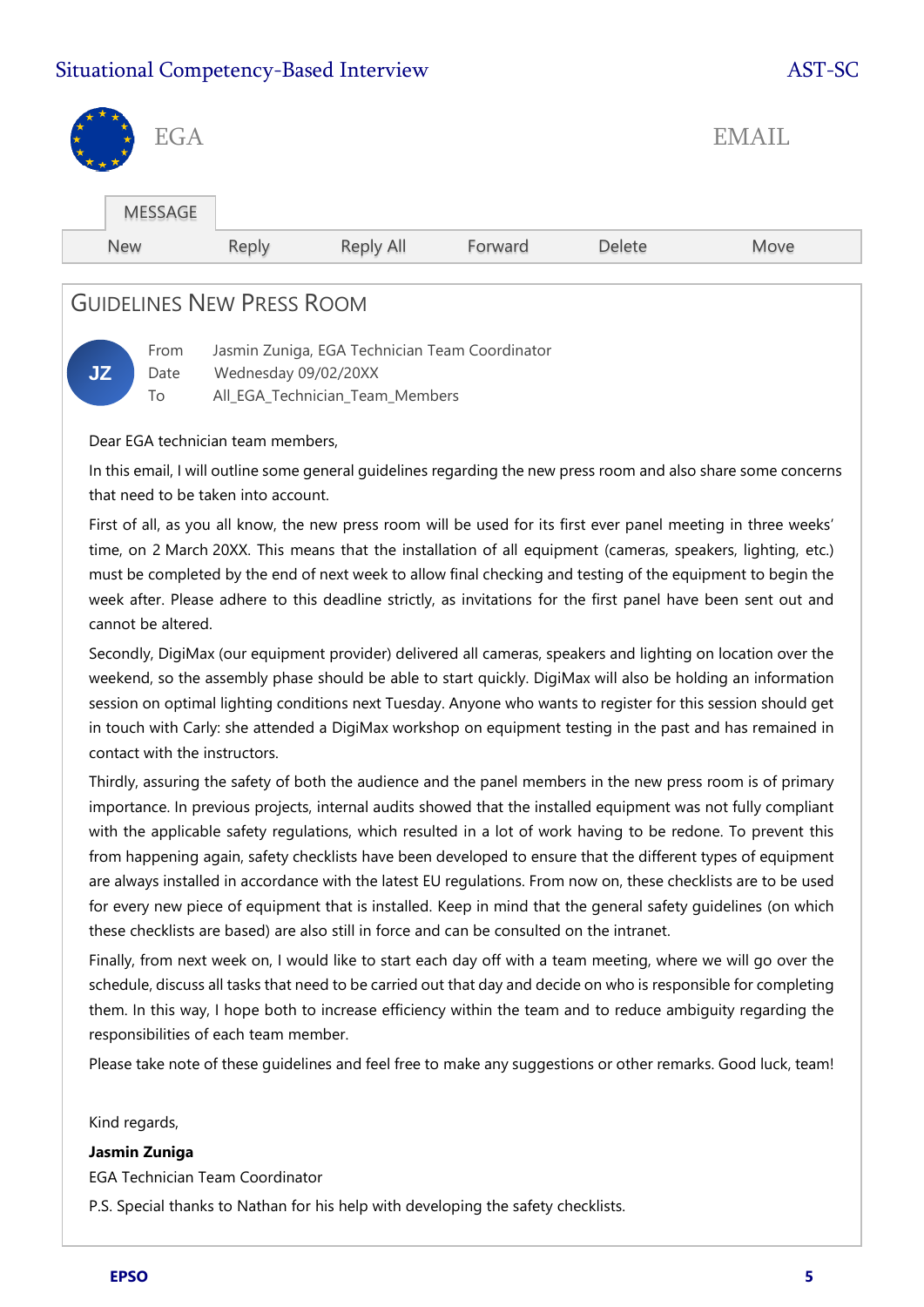## Situational Competency-Based Interview AST-SC

| <b>EGA</b><br>$\star$<br><b>H</b> |       |           |         |        | <b>EMAIL</b> |  |
|-----------------------------------|-------|-----------|---------|--------|--------------|--|
| <b>MESSAGE</b>                    |       |           |         |        |              |  |
| New                               | Reply | Reply All | Forward | Delete | Move         |  |
|                                   |       |           |         |        |              |  |

## GUIDELINES NEW PRESS ROOM



From Jasmin Zuniga, EGA Technician Team Coordinator Date Wednesday 09/02/20XX

To All\_EGA\_Technician\_Team\_Members

Dear EGA technician team members,

In this email, I will outline some general guidelines regarding the new press room and also share some concerns that need to be taken into account.

First of all, as you all know, the new press room will be used for its first ever panel meeting in three weeks' time, on 2 March 20XX. This means that the installation of all equipment (cameras, speakers, lighting, etc.) must be completed by the end of next week to allow final checking and testing of the equipment to begin the week after. Please adhere to this deadline strictly, as invitations for the first panel have been sent out and cannot be altered.

Secondly, DigiMax (our equipment provider) delivered all cameras, speakers and lighting on location over the weekend, so the assembly phase should be able to start quickly. DigiMax will also be holding an information session on optimal lighting conditions next Tuesday. Anyone who wants to register for this session should get in touch with Carly: she attended a DigiMax workshop on equipment testing in the past and has remained in contact with the instructors.

Thirdly, assuring the safety of both the audience and the panel members in the new press room is of primary importance. In previous projects, internal audits showed that the installed equipment was not fully compliant with the applicable safety regulations, which resulted in a lot of work having to be redone. To prevent this from happening again, safety checklists have been developed to ensure that the different types of equipment are always installed in accordance with the latest EU regulations. From now on, these checklists are to be used for every new piece of equipment that is installed. Keep in mind that the general safety guidelines (on which these checklists are based) are also still in force and can be consulted on the intranet.

Finally, from next week on, I would like to start each day off with a team meeting, where we will go over the schedule, discuss all tasks that need to be carried out that day and decide on who is responsible for completing them. In this way, I hope both to increase efficiency within the team and to reduce ambiguity regarding the responsibilities of each team member.

Please take note of these guidelines and feel free to make any suggestions or other remarks. Good luck, team!

Kind regards,

#### **Jasmin Zuniga**

EGA Technician Team Coordinator

P.S. Special thanks to Nathan for his help with developing the safety checklists.